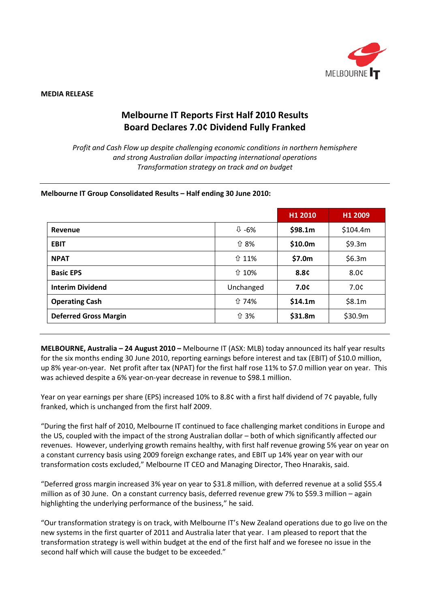

#### **MEDIA RELEASE**

# **Melbourne IT Reports First Half 2010 Results Board Declares 7.0¢ Dividend Fully Franked**

*Profit and Cash Flow up despite challenging economic conditions in northern hemisphere and strong Australian dollar impacting international operations Transformation strategy on track and on budget*

#### **Melbourne IT Group Consolidated Results – Half ending 30 June 2010:**

|                              |                    | H1 2010 | H1 2009  |
|------------------------------|--------------------|---------|----------|
| Revenue                      | $\overline{0}$ -6% | \$98.1m | \$104.4m |
| <b>EBIT</b>                  | ↑ 8%               | \$10.0m | \$9.3m   |
| <b>NPAT</b>                  | ↑ 11%              | \$7.0m  | \$6.3m   |
| <b>Basic EPS</b>             | ↑ 10%              | 8.8¢    | 8.0¢     |
| <b>Interim Dividend</b>      | Unchanged          | 7.0c    | 7.0c     |
| <b>Operating Cash</b>        | ↑74%               | \$14.1m | \$8.1m   |
| <b>Deferred Gross Margin</b> | ↑ 3%               | \$31.8m | \$30.9m  |

**MELBOURNE, Australia – 24 August 2010 –** Melbourne IT (ASX: MLB) today announced its half year results for the six months ending 30 June 2010, reporting earnings before interest and tax (EBIT) of \$10.0 million, up 8% year-on-year. Net profit after tax (NPAT) for the first half rose 11% to \$7.0 million year on year. This was achieved despite a 6% year-on-year decrease in revenue to \$98.1 million.

Year on year earnings per share (EPS) increased 10% to 8.8¢ with a first half dividend of 7¢ payable, fully franked, which is unchanged from the first half 2009.

"During the first half of 2010, Melbourne IT continued to face challenging market conditions in Europe and the US, coupled with the impact of the strong Australian dollar – both of which significantly affected our revenues. However, underlying growth remains healthy, with first half revenue growing 5% year on year on a constant currency basis using 2009 foreign exchange rates, and EBIT up 14% year on year with our transformation costs excluded," Melbourne IT CEO and Managing Director, Theo Hnarakis, said.

"Deferred gross margin increased 3% year on year to \$31.8 million, with deferred revenue at a solid \$55.4 million as of 30 June. On a constant currency basis, deferred revenue grew 7% to \$59.3 million – again highlighting the underlying performance of the business," he said.

"Our transformation strategy is on track, with Melbourne IT's New Zealand operations due to go live on the new systems in the first quarter of 2011 and Australia later that year. I am pleased to report that the transformation strategy is well within budget at the end of the first half and we foresee no issue in the second half which will cause the budget to be exceeded."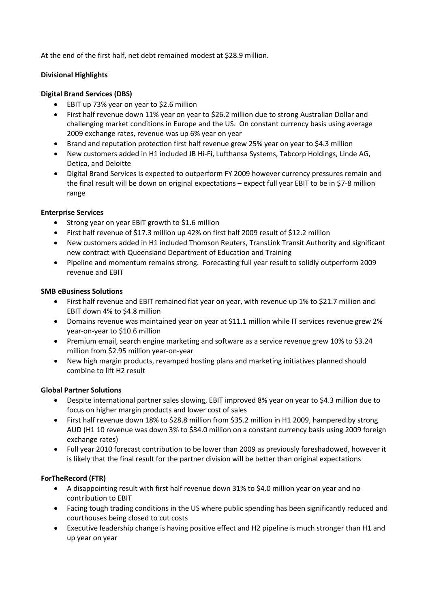At the end of the first half, net debt remained modest at \$28.9 million.

## **Divisional Highlights**

## **Digital Brand Services (DBS)**

- EBIT up 73% year on year to \$2.6 million
- First half revenue down 11% year on year to \$26.2 million due to strong Australian Dollar and challenging market conditions in Europe and the US. On constant currency basis using average 2009 exchange rates, revenue was up 6% year on year
- Brand and reputation protection first half revenue grew 25% year on year to \$4.3 million
- New customers added in H1 included JB Hi-Fi, Lufthansa Systems, Tabcorp Holdings, Linde AG, Detica, and Deloitte
- Digital Brand Services is expected to outperform FY 2009 however currency pressures remain and the final result will be down on original expectations – expect full year EBIT to be in \$7-8 million range

## **Enterprise Services**

- Strong year on year EBIT growth to \$1.6 million
- First half revenue of \$17.3 million up 42% on first half 2009 result of \$12.2 million
- New customers added in H1 included Thomson Reuters, TransLink Transit Authority and significant new contract with Queensland Department of Education and Training
- Pipeline and momentum remains strong. Forecasting full year result to solidly outperform 2009 revenue and EBIT

## **SMB eBusiness Solutions**

- First half revenue and EBIT remained flat year on year, with revenue up 1% to \$21.7 million and EBIT down 4% to \$4.8 million
- Domains revenue was maintained year on year at \$11.1 million while IT services revenue grew 2% year-on-year to \$10.6 million
- Premium email, search engine marketing and software as a service revenue grew 10% to \$3.24 million from \$2.95 million year-on-year
- New high margin products, revamped hosting plans and marketing initiatives planned should combine to lift H2 result

## **Global Partner Solutions**

- Despite international partner sales slowing, EBIT improved 8% year on year to \$4.3 million due to focus on higher margin products and lower cost of sales
- First half revenue down 18% to \$28.8 million from \$35.2 million in H1 2009, hampered by strong AUD (H1 10 revenue was down 3% to \$34.0 million on a constant currency basis using 2009 foreign exchange rates)
- Full year 2010 forecast contribution to be lower than 2009 as previously foreshadowed, however it is likely that the final result for the partner division will be better than original expectations

## **ForTheRecord (FTR)**

- A disappointing result with first half revenue down 31% to \$4.0 million year on year and no contribution to EBIT
- Facing tough trading conditions in the US where public spending has been significantly reduced and courthouses being closed to cut costs
- Executive leadership change is having positive effect and H2 pipeline is much stronger than H1 and up year on year